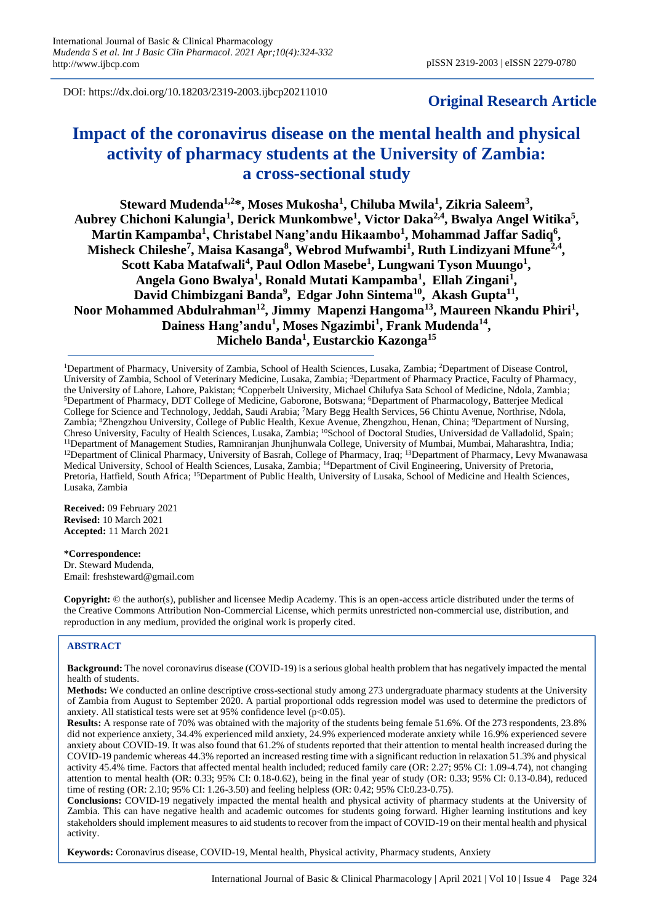DOI: https://dx.doi.org/10.18203/2319-2003.ijbcp20211010

# **Original Research Article**

# **Impact of the coronavirus disease on the mental health and physical activity of pharmacy students at the University of Zambia: a cross-sectional study**

**Steward Mudenda1,2\*, Moses Mukosha<sup>1</sup> , Chiluba Mwila<sup>1</sup> , Zikria Saleem<sup>3</sup> , Aubrey Chichoni Kalungia<sup>1</sup> , Derick Munkombwe<sup>1</sup> , Victor Daka2,4, Bwalya Angel Witika<sup>5</sup> , Martin Kampamba<sup>1</sup> , Christabel Nang'andu Hikaambo<sup>1</sup> , Mohammad Jaffar Sadiq<sup>6</sup> , Misheck Chileshe<sup>7</sup> , Maisa Kasanga<sup>8</sup> , Webrod Mufwambi<sup>1</sup> , Ruth Lindizyani Mfune2,4 , Scott Kaba Matafwali<sup>4</sup> , Paul Odlon Masebe<sup>1</sup> , Lungwani Tyson Muungo<sup>1</sup> , Angela Gono Bwalya<sup>1</sup> , Ronald Mutati Kampamba<sup>1</sup> , Ellah Zingani<sup>1</sup> , David Chimbizgani Banda<sup>9</sup> , Edgar John Sintema<sup>10</sup>, Akash Gupta<sup>11</sup> , Noor Mohammed Abdulrahman<sup>12</sup>, Jimmy Mapenzi Hangoma<sup>13</sup>, Maureen Nkandu Phiri<sup>1</sup> ,**  Dainess Hang'andu<sup>1</sup>, Moses Ngazimbi<sup>1</sup>, Frank Mudenda<sup>14</sup>, **Michelo Banda<sup>1</sup> , Eustarckio Kazonga<sup>15</sup>**

<sup>1</sup>Department of Pharmacy, University of Zambia, School of Health Sciences, Lusaka, Zambia; <sup>2</sup>Department of Disease Control, University of Zambia, School of Veterinary Medicine, Lusaka, Zambia; <sup>3</sup>Department of Pharmacy Practice, Faculty of Pharmacy, the University of Lahore, Lahore, Pakistan; <sup>4</sup>Copperbelt University, Michael Chilufya Sata School of Medicine, Ndola, Zambia; <sup>5</sup>Department of Pharmacy, DDT College of Medicine, Gaborone, Botswana; <sup>6</sup>Department of Pharmacology, Batterjee Medical College for Science and Technology, Jeddah, Saudi Arabia; <sup>7</sup>Mary Begg Health Services, 56 Chintu Avenue, Northrise, Ndola, Zambia; <sup>8</sup>Zhengzhou University, College of Public Health, Kexue Avenue, Zhengzhou, Henan, China; <sup>9</sup>Department of Nursing, Chreso University, Faculty of Health Sciences, Lusaka, Zambia; <sup>10</sup>School of Doctoral Studies, Universidad de Valladolid, Spain; <sup>11</sup>Department of Management Studies, Ramniranjan Jhunjhunwala College, University of Mumbai, Mumbai, Maharashtra, India; <sup>12</sup>Department of Clinical Pharmacy, University of Basrah, College of Pharmacy, Iraq; <sup>13</sup>Department of Pharmacy, Levy Mwanawasa Medical University, School of Health Sciences, Lusaka, Zambia; <sup>14</sup>Department of Civil Engineering, University of Pretoria, Pretoria, Hatfield, South Africa; <sup>15</sup>Department of Public Health, University of Lusaka, School of Medicine and Health Sciences, Lusaka, Zambia

**Received:** 09 February 2021 **Revised:** 10 March 2021 **Accepted:** 11 March 2021

**\*Correspondence:** Dr. Steward Mudenda, Email: freshsteward@gmail.com

**Copyright:** © the author(s), publisher and licensee Medip Academy. This is an open-access article distributed under the terms of the Creative Commons Attribution Non-Commercial License, which permits unrestricted non-commercial use, distribution, and reproduction in any medium, provided the original work is properly cited.

## **ABSTRACT**

**Background:** The novel coronavirus disease (COVID-19) is a serious global health problem that has negatively impacted the mental health of students.

**Methods:** We conducted an online descriptive cross-sectional study among 273 undergraduate pharmacy students at the University of Zambia from August to September 2020. A partial proportional odds regression model was used to determine the predictors of anxiety. All statistical tests were set at 95% confidence level ( $p$ <0.05).

**Results:** A response rate of 70% was obtained with the majority of the students being female 51.6%. Of the 273 respondents, 23.8% did not experience anxiety, 34.4% experienced mild anxiety, 24.9% experienced moderate anxiety while 16.9% experienced severe anxiety about COVID-19. It was also found that 61.2% of students reported that their attention to mental health increased during the COVID-19 pandemic whereas 44.3% reported an increased resting time with a significant reduction in relaxation 51.3% and physical activity 45.4% time. Factors that affected mental health included; reduced family care (OR: 2.27; 95% CI: 1.09-4.74), not changing attention to mental health (OR: 0.33; 95% CI: 0.18-0.62), being in the final year of study (OR: 0.33; 95% CI: 0.13-0.84), reduced time of resting (OR: 2.10; 95% CI: 1.26-3.50) and feeling helpless (OR: 0.42; 95% CI:0.23-0.75).

**Conclusions:** COVID-19 negatively impacted the mental health and physical activity of pharmacy students at the University of Zambia. This can have negative health and academic outcomes for students going forward. Higher learning institutions and key stakeholders should implement measures to aid students to recover from the impact of COVID-19 on their mental health and physical activity.

**Keywords:** Coronavirus disease, COVID-19, Mental health, Physical activity, Pharmacy students, Anxiety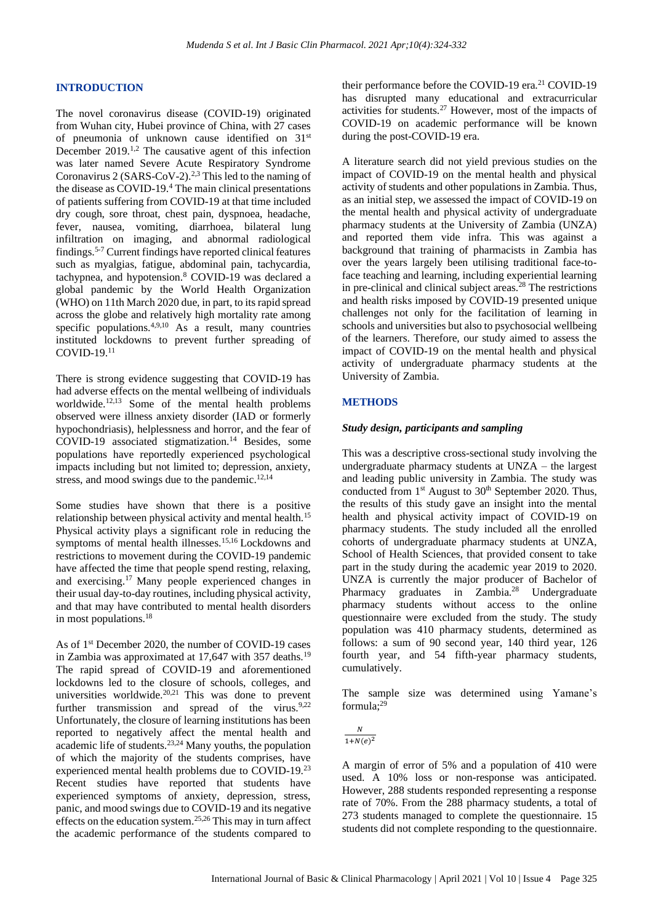## **INTRODUCTION**

The novel coronavirus disease (COVID-19) originated from Wuhan city, Hubei province of China, with 27 cases of pneumonia of unknown cause identified on 31st December  $2019$ <sup> $1,2$ </sup> The causative agent of this infection was later named Severe Acute Respiratory Syndrome Coronavirus 2 (SARS-CoV-2).<sup>2,3</sup> This led to the naming of the disease as COVID-19.<sup>4</sup> The main clinical presentations of patients suffering from COVID-19 at that time included dry cough, sore throat, chest pain, dyspnoea, headache, fever, nausea, vomiting, diarrhoea, bilateral lung infiltration on imaging, and abnormal radiological findings.5-7 Current findings have reported clinical features such as myalgias, fatigue, abdominal pain, tachycardia, tachypnea, and hypotension.<sup>8</sup> COVID-19 was declared a global pandemic by the World Health Organization (WHO) on 11th March 2020 due, in part, to its rapid spread across the globe and relatively high mortality rate among specific populations.<sup>4,9,10</sup> As a result, many countries instituted lockdowns to prevent further spreading of COVID-19.<sup>11</sup>

There is strong evidence suggesting that COVID-19 has had adverse effects on the mental wellbeing of individuals worldwide.<sup>12,13</sup> Some of the mental health problems observed were illness anxiety disorder (IAD or formerly hypochondriasis), helplessness and horror, and the fear of  $COVID-19$  associated stigmatization.<sup>14</sup> Besides, some populations have reportedly experienced psychological impacts including but not limited to; depression, anxiety, stress, and mood swings due to the pandemic.<sup>12,14</sup>

Some studies have shown that there is a positive relationship between physical activity and mental health.<sup>15</sup> Physical activity plays a significant role in reducing the symptoms of mental health illnesses.<sup>15,16</sup> Lockdowns and restrictions to movement during the COVID-19 pandemic have affected the time that people spend resting, relaxing, and exercising.<sup>17</sup>Many people experienced changes in their usual day-to-day routines, including physical activity, and that may have contributed to mental health disorders in most populations.<sup>18</sup>

As of 1<sup>st</sup> December 2020, the number of COVID-19 cases in Zambia was approximated at 17,647 with 357 deaths.<sup>19</sup> The rapid spread of COVID-19 and aforementioned lockdowns led to the closure of schools, colleges, and universities worldwide. $20,21$  This was done to prevent further transmission and spread of the virus. $9,22$ Unfortunately, the closure of learning institutions has been reported to negatively affect the mental health and academic life of students.<sup>23,24</sup> Many youths, the population of which the majority of the students comprises, have experienced mental health problems due to COVID-19.<sup>23</sup> Recent studies have reported that students have experienced symptoms of anxiety, depression, stress, panic, and mood swings due to COVID-19 and its negative effects on the education system.<sup>25,26</sup> This may in turn affect the academic performance of the students compared to their performance before the COVID-19 era.<sup>21</sup> COVID-19 has disrupted many educational and extracurricular activities for students.<sup>27</sup> However, most of the impacts of COVID-19 on academic performance will be known during the post-COVID-19 era.

A literature search did not yield previous studies on the impact of COVID-19 on the mental health and physical activity of students and other populations in Zambia. Thus, as an initial step, we assessed the impact of COVID-19 on the mental health and physical activity of undergraduate pharmacy students at the University of Zambia (UNZA) and reported them vide infra. This was against a background that training of pharmacists in Zambia has over the years largely been utilising traditional face-toface teaching and learning, including experiential learning in pre-clinical and clinical subject areas.<sup>28</sup> The restrictions and health risks imposed by COVID-19 presented unique challenges not only for the facilitation of learning in schools and universities but also to psychosocial wellbeing of the learners. Therefore, our study aimed to assess the impact of COVID-19 on the mental health and physical activity of undergraduate pharmacy students at the University of Zambia.

## **METHODS**

#### *Study design, participants and sampling*

This was a descriptive cross-sectional study involving the undergraduate pharmacy students at UNZA – the largest and leading public university in Zambia. The study was conducted from  $1<sup>st</sup>$  August to  $30<sup>th</sup>$  September 2020. Thus, the results of this study gave an insight into the mental health and physical activity impact of COVID-19 on pharmacy students. The study included all the enrolled cohorts of undergraduate pharmacy students at UNZA, School of Health Sciences, that provided consent to take part in the study during the academic year 2019 to 2020. UNZA is currently the major producer of Bachelor of Pharmacy graduates in Zambia.<sup>28</sup> Undergraduate pharmacy students without access to the online questionnaire were excluded from the study. The study population was 410 pharmacy students, determined as follows: a sum of 90 second year, 140 third year, 126 fourth year, and 54 fifth-year pharmacy students, cumulatively.

The sample size was determined using Yamane's formula;<sup>29</sup>

$$
\frac{N}{1+N(e)^2}
$$

A margin of error of 5% and a population of 410 were used. A 10% loss or non-response was anticipated. However, 288 students responded representing a response rate of 70%. From the 288 pharmacy students, a total of 273 students managed to complete the questionnaire. 15 students did not complete responding to the questionnaire.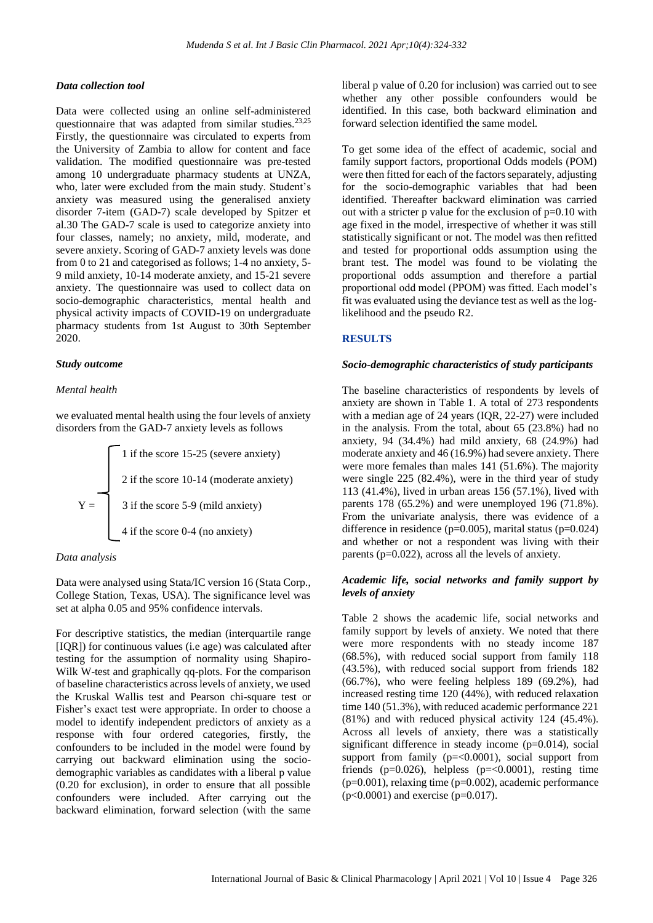#### *Data collection tool*

Data were collected using an online self-administered questionnaire that was adapted from similar studies.<sup>23,25</sup> Firstly, the questionnaire was circulated to experts from the University of Zambia to allow for content and face validation. The modified questionnaire was pre-tested among 10 undergraduate pharmacy students at UNZA, who, later were excluded from the main study. Student's anxiety was measured using the generalised anxiety disorder 7-item (GAD-7) scale developed by Spitzer et al.30 The GAD-7 scale is used to categorize anxiety into four classes, namely; no anxiety, mild, moderate, and severe anxiety. Scoring of GAD-7 anxiety levels was done from 0 to 21 and categorised as follows; 1-4 no anxiety, 5- 9 mild anxiety, 10-14 moderate anxiety, and 15-21 severe anxiety. The questionnaire was used to collect data on socio-demographic characteristics, mental health and physical activity impacts of COVID-19 on undergraduate pharmacy students from 1st August to 30th September 2020.

## *Study outcome*

#### *Mental health*

we evaluated mental health using the four levels of anxiety disorders from the GAD-7 anxiety levels as follows

 1 if the score 15-25 (severe anxiety) 2 if the score 10-14 (moderate anxiety) Y = 3 if the score 5-9 (mild anxiety) 4 if the score 0-4 (no anxiety)

#### *Data analysis*

Data were analysed using Stata/IC version 16 (Stata Corp., College Station, Texas, USA). The significance level was set at alpha 0.05 and 95% confidence intervals.

For descriptive statistics, the median (interquartile range [IQR]) for continuous values (i.e age) was calculated after testing for the assumption of normality using Shapiro-Wilk W-test and graphically qq-plots. For the comparison of baseline characteristics across levels of anxiety, we used the Kruskal Wallis test and Pearson chi-square test or Fisher's exact test were appropriate. In order to choose a model to identify independent predictors of anxiety as a response with four ordered categories, firstly, the confounders to be included in the model were found by carrying out backward elimination using the sociodemographic variables as candidates with a liberal p value (0.20 for exclusion), in order to ensure that all possible confounders were included. After carrying out the backward elimination, forward selection (with the same

liberal p value of 0.20 for inclusion) was carried out to see whether any other possible confounders would be identified. In this case, both backward elimination and forward selection identified the same model.

To get some idea of the effect of academic, social and family support factors, proportional Odds models (POM) were then fitted for each of the factors separately, adjusting for the socio-demographic variables that had been identified. Thereafter backward elimination was carried out with a stricter p value for the exclusion of  $p=0.10$  with age fixed in the model, irrespective of whether it was still statistically significant or not. The model was then refitted and tested for proportional odds assumption using the brant test. The model was found to be violating the proportional odds assumption and therefore a partial proportional odd model (PPOM) was fitted. Each model's fit was evaluated using the deviance test as well as the loglikelihood and the pseudo R2.

#### **RESULTS**

#### *Socio-demographic characteristics of study participants*

The baseline characteristics of respondents by levels of anxiety are shown in Table 1. A total of 273 respondents with a median age of 24 years (IQR, 22-27) were included in the analysis. From the total, about 65 (23.8%) had no anxiety, 94 (34.4%) had mild anxiety, 68 (24.9%) had moderate anxiety and 46 (16.9%) had severe anxiety. There were more females than males 141 (51.6%). The majority were single 225 (82.4%), were in the third year of study 113 (41.4%), lived in urban areas 156 (57.1%), lived with parents 178 (65.2%) and were unemployed 196 (71.8%). From the univariate analysis, there was evidence of a difference in residence ( $p=0.005$ ), marital status ( $p=0.024$ ) and whether or not a respondent was living with their parents (p=0.022), across all the levels of anxiety.

## *Academic life, social networks and family support by levels of anxiety*

Table 2 shows the academic life, social networks and family support by levels of anxiety. We noted that there were more respondents with no steady income 187 (68.5%), with reduced social support from family 118 (43.5%), with reduced social support from friends 182 (66.7%), who were feeling helpless 189 (69.2%), had increased resting time 120 (44%), with reduced relaxation time 140 (51.3%), with reduced academic performance 221 (81%) and with reduced physical activity 124 (45.4%). Across all levels of anxiety, there was a statistically significant difference in steady income (p=0.014), social support from family  $(p=<0.0001)$ , social support from friends ( $p=0.026$ ), helpless ( $p=<0.0001$ ), resting time (p=0.001), relaxing time (p=0.002), academic performance  $(p<0.0001)$  and exercise (p=0.017).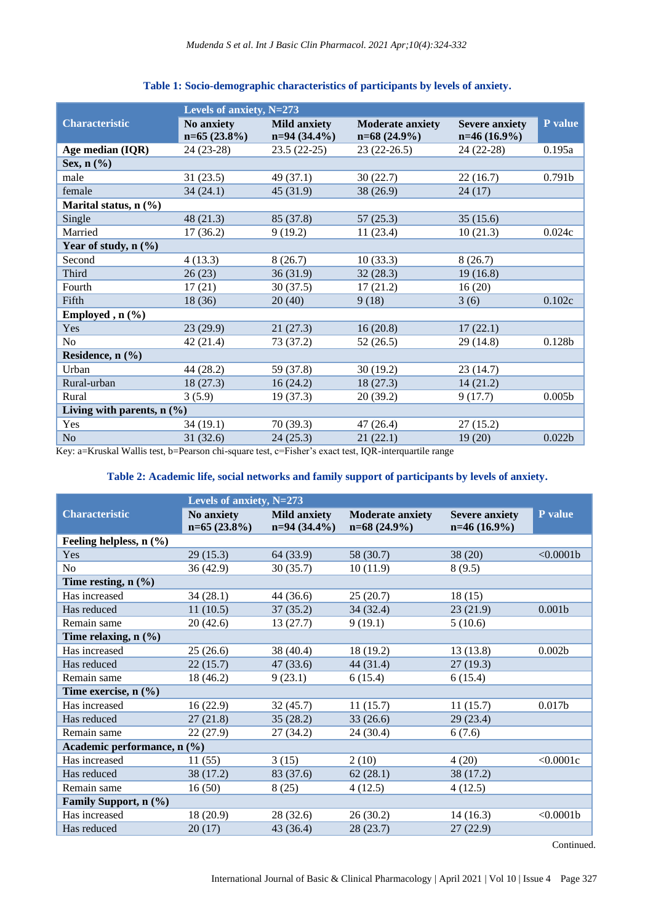|                                                                                                                                                                 | Levels of anxiety, N=273    |                                       |                                           |                                         |                    |  |  |
|-----------------------------------------------------------------------------------------------------------------------------------------------------------------|-----------------------------|---------------------------------------|-------------------------------------------|-----------------------------------------|--------------------|--|--|
| <b>Characteristic</b>                                                                                                                                           | No anxiety<br>$n=65(23.8%)$ | <b>Mild anxiety</b><br>$n=94(34.4\%)$ | <b>Moderate anxiety</b><br>$n=68(24.9\%)$ | <b>Severe anxiety</b><br>$n=46(16.9\%)$ | P value            |  |  |
| Age median (IQR)                                                                                                                                                | 24 (23-28)                  | $23.5(22-25)$                         | $23(22-26.5)$                             | 24 (22-28)                              | 0.195a             |  |  |
| Sex, $n$ $(\frac{6}{6})$                                                                                                                                        |                             |                                       |                                           |                                         |                    |  |  |
| male                                                                                                                                                            | 31(23.5)                    | 49(37.1)                              | 30(22.7)                                  | 22(16.7)                                | 0.791 <sub>b</sub> |  |  |
| female                                                                                                                                                          | 34(24.1)                    | 45(31.9)                              | 38 (26.9)                                 | 24(17)                                  |                    |  |  |
| Marital status, $n$ (%)                                                                                                                                         |                             |                                       |                                           |                                         |                    |  |  |
| Single                                                                                                                                                          | 48(21.3)                    | 85 (37.8)                             | 57(25.3)                                  | 35(15.6)                                |                    |  |  |
| Married                                                                                                                                                         | 17(36.2)                    | 9(19.2)                               | 11(23.4)                                  | 10(21.3)                                | 0.024c             |  |  |
| Year of study, $n$ (%)                                                                                                                                          |                             |                                       |                                           |                                         |                    |  |  |
| Second                                                                                                                                                          | 4(13.3)                     | 8(26.7)                               | 10(33.3)                                  | 8(26.7)                                 |                    |  |  |
| Third                                                                                                                                                           | 26(23)                      | 36(31.9)                              | 32(28.3)                                  | 19(16.8)                                |                    |  |  |
| Fourth                                                                                                                                                          | 17(21)                      | 30(37.5)                              | 17(21.2)                                  | 16(20)                                  |                    |  |  |
| Fifth                                                                                                                                                           | 18(36)                      | 20(40)                                | 9(18)                                     | 3(6)                                    | 0.102c             |  |  |
| Employed , $n$ (%)                                                                                                                                              |                             |                                       |                                           |                                         |                    |  |  |
| Yes                                                                                                                                                             | 23(29.9)                    | 21(27.3)                              | 16(20.8)                                  | 17(22.1)                                |                    |  |  |
| No                                                                                                                                                              | 42(21.4)                    | 73 (37.2)                             | 52(26.5)                                  | 29 (14.8)                               | 0.128b             |  |  |
| Residence, n (%)                                                                                                                                                |                             |                                       |                                           |                                         |                    |  |  |
| Urban                                                                                                                                                           | 44(28.2)                    | 59 (37.8)                             | 30(19.2)                                  | 23(14.7)                                |                    |  |  |
| Rural-urban                                                                                                                                                     | 18(27.3)                    | 16(24.2)                              | 18(27.3)                                  | 14(21.2)                                |                    |  |  |
| Rural                                                                                                                                                           | 3(5.9)                      | 19(37.3)                              | 20(39.2)                                  | 9(17.7)                                 | 0.005 <sub>b</sub> |  |  |
| Living with parents, $n$ (%)                                                                                                                                    |                             |                                       |                                           |                                         |                    |  |  |
| Yes                                                                                                                                                             | 34(19.1)                    | 70(39.3)                              | 47(26.4)                                  | 27(15.2)                                |                    |  |  |
| N <sub>o</sub><br>$\mathbf{r} \mathbf{r} = \mathbf{r} \mathbf{r} + \mathbf{r} \mathbf{r} \mathbf{r} + \mathbf{r} \mathbf{r} \mathbf{r} + \mathbf{r} \mathbf{r}$ | 31(32.6)                    | 24(25.3)                              | 21(22.1)                                  | 19(20)                                  | 0.022b             |  |  |

## **Table 1: Socio-demographic characteristics of participants by levels of anxiety.**

Key: a=Kruskal Wallis test, b=Pearson chi-square test, c=Fisher's exact test, IQR-interquartile range

## **Table 2: Academic life, social networks and family support of participants by levels of anxiety.**

|                                    | Levels of anxiety, N=273     |                                       |                                           |                                         |                    |  |  |  |
|------------------------------------|------------------------------|---------------------------------------|-------------------------------------------|-----------------------------------------|--------------------|--|--|--|
| <b>Characteristic</b>              | No anxiety<br>$n=65(23.8\%)$ | <b>Mild anxiety</b><br>$n=94(34.4\%)$ | <b>Moderate anxiety</b><br>$n=68(24.9\%)$ | <b>Severe anxiety</b><br>$n=46(16.9\%)$ | P value            |  |  |  |
| Feeling helpless, $n$ (%)          |                              |                                       |                                           |                                         |                    |  |  |  |
| Yes                                | 29(15.3)                     | 64 (33.9)                             | 58 (30.7)                                 | 38(20)                                  | < 0.0001b          |  |  |  |
| N <sub>o</sub>                     | 36(42.9)                     | 30(35.7)                              | 10(11.9)                                  | 8(9.5)                                  |                    |  |  |  |
| Time resting, $n$ $(\%)$           |                              |                                       |                                           |                                         |                    |  |  |  |
| Has increased                      | 34(28.1)                     | 44(36.6)                              | 25(20.7)                                  | 18(15)                                  |                    |  |  |  |
| Has reduced                        | 11(10.5)                     | 37(35.2)                              | 34 (32.4)                                 | 23(21.9)                                | 0.001 <sub>b</sub> |  |  |  |
| Remain same                        | 20(42.6)                     | 13(27.7)                              | 9(19.1)                                   | 5(10.6)                                 |                    |  |  |  |
| Time relaxing, $n$ $(\%)$          |                              |                                       |                                           |                                         |                    |  |  |  |
| Has increased                      | 25(26.6)                     | 38 (40.4)                             | 18(19.2)                                  | 13 (13.8)                               | 0.002 <sub>b</sub> |  |  |  |
| Has reduced                        | 22(15.7)                     | 47 (33.6)                             | 44 (31.4)                                 | 27(19.3)                                |                    |  |  |  |
| Remain same                        | 18 (46.2)                    | 9(23.1)                               | 6(15.4)                                   | 6(15.4)                                 |                    |  |  |  |
| Time exercise, $n$ $(\frac{6}{6})$ |                              |                                       |                                           |                                         |                    |  |  |  |
| Has increased                      | 16(22.9)                     | 32(45.7)                              | 11(15.7)                                  | 11(15.7)                                | 0.017 <sub>b</sub> |  |  |  |
| Has reduced                        | 27(21.8)                     | 35(28.2)                              | 33(26.6)                                  | 29(23.4)                                |                    |  |  |  |
| Remain same                        | 22(27.9)                     | 27 (34.2)                             | 24 (30.4)                                 | 6(7.6)                                  |                    |  |  |  |
| Academic performance, n (%)        |                              |                                       |                                           |                                         |                    |  |  |  |
| Has increased                      | 11(55)                       | 3(15)                                 | 2(10)                                     | 4(20)                                   | < 0.0001c          |  |  |  |
| Has reduced                        | 38 (17.2)                    | 83 (37.6)                             | 62(28.1)                                  | 38 (17.2)                               |                    |  |  |  |
| Remain same                        | 16(50)                       | 8(25)                                 | 4(12.5)                                   | 4(12.5)                                 |                    |  |  |  |
| Family Support, n (%)              |                              |                                       |                                           |                                         |                    |  |  |  |
| Has increased                      | 18 (20.9)                    | 28(32.6)                              | 26(30.2)                                  | 14(16.3)                                | < 0.0001b          |  |  |  |
| Has reduced                        | 20(17)                       | 43 (36.4)                             | 28(23.7)                                  | 27(22.9)                                |                    |  |  |  |

Continued.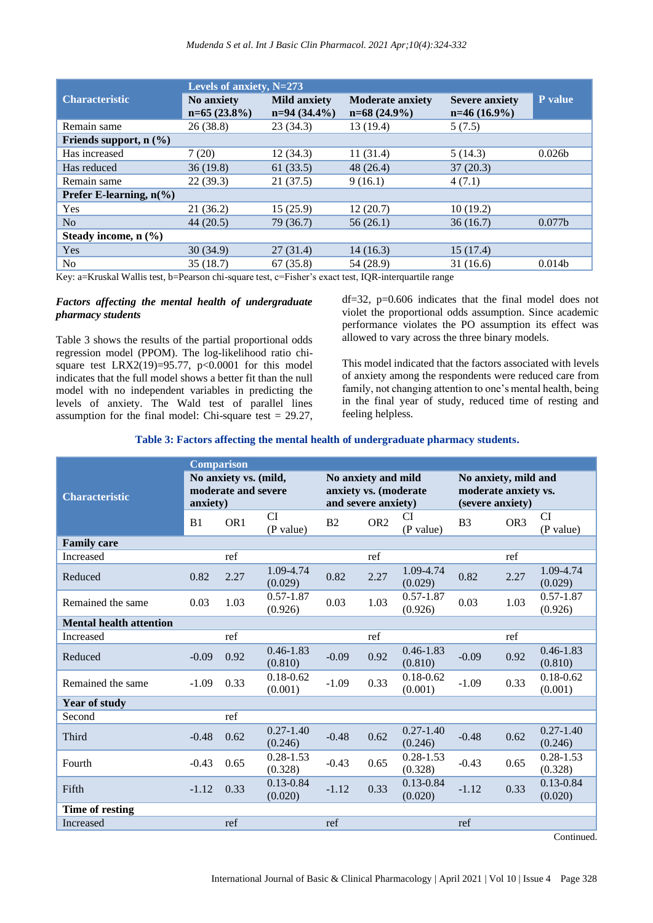*Mudenda S et al. Int J Basic Clin Pharmacol. 2021 Apr;10(4):324-332*

|                                   | Levels of anxiety, $N=273$   |                                       |                                           |                                         |                    |  |  |
|-----------------------------------|------------------------------|---------------------------------------|-------------------------------------------|-----------------------------------------|--------------------|--|--|
| <b>Characteristic</b>             | No anxiety<br>$n=65(23.8\%)$ | <b>Mild anxiety</b><br>$n=94(34.4\%)$ | <b>Moderate anxiety</b><br>$n=68(24.9\%)$ | <b>Severe anxiety</b><br>$n=46(16.9\%)$ | P value            |  |  |
| Remain same                       | 26 (38.8)                    | 23(34.3)                              | 13(19.4)                                  | 5(7.5)                                  |                    |  |  |
| Friends support, $n$ $(\%)$       |                              |                                       |                                           |                                         |                    |  |  |
| Has increased                     | 7(20)                        | 12(34.3)                              | 11(31.4)                                  | 5(14.3)                                 | 0.026 <sub>b</sub> |  |  |
| Has reduced                       | 36(19.8)                     | 61(33.5)                              | 48(26.4)                                  | 37(20.3)                                |                    |  |  |
| Remain same                       | 22(39.3)                     | 21(37.5)                              | 9(16.1)                                   | 4(7.1)                                  |                    |  |  |
| Prefer E-learning, $n\frac{6}{6}$ |                              |                                       |                                           |                                         |                    |  |  |
| Yes                               | 21(36.2)                     | 15(25.9)                              | 12(20.7)                                  | 10(19.2)                                |                    |  |  |
| No                                | 44 (20.5)                    | 79 (36.7)                             | 56(26.1)                                  | 36(16.7)                                | 0.077 <sub>b</sub> |  |  |
| Steady income, $n$ $(\%)$         |                              |                                       |                                           |                                         |                    |  |  |
| Yes                               | 30(34.9)                     | 27(31.4)                              | 14(16.3)                                  | 15(17.4)                                |                    |  |  |
| N <sub>o</sub>                    | 35(18.7)                     | 67(35.8)                              | 54 (28.9)                                 | 31(16.6)                                | 0.014 <sub>b</sub> |  |  |

Key: a=Kruskal Wallis test, b=Pearson chi-square test, c=Fisher's exact test, IQR-interquartile range

## *Factors affecting the mental health of undergraduate pharmacy students*

Table 3 shows the results of the partial proportional odds regression model (PPOM). The log-likelihood ratio chisquare test LRX2(19)=95.77, p<0.0001 for this model indicates that the full model shows a better fit than the null model with no independent variables in predicting the levels of anxiety. The Wald test of parallel lines assumption for the final model: Chi-square test  $= 29.27$ , df=32, p=0.606 indicates that the final model does not violet the proportional odds assumption. Since academic performance violates the PO assumption its effect was allowed to vary across the three binary models.

This model indicated that the factors associated with levels of anxiety among the respondents were reduced care from family, not changing attention to one's mental health, being in the final year of study, reduced time of resting and feeling helpless.

| Table 3: Factors affecting the mental health of undergraduate pharmacy students. |  |  |
|----------------------------------------------------------------------------------|--|--|
|                                                                                  |  |  |

|                                | <b>Comparison</b>                                        |                 |                                                                     |         |                 |                                                                  |                |                 |                          |
|--------------------------------|----------------------------------------------------------|-----------------|---------------------------------------------------------------------|---------|-----------------|------------------------------------------------------------------|----------------|-----------------|--------------------------|
| <b>Characteristic</b>          | No anxiety vs. (mild,<br>moderate and severe<br>anxiety) |                 | No anxiety and mild<br>anxiety vs. (moderate<br>and severe anxiety) |         |                 | No anxiety, mild and<br>moderate anxiety vs.<br>(severe anxiety) |                |                 |                          |
|                                | B <sub>1</sub>                                           | OR <sub>1</sub> | <b>CI</b><br>(P value)                                              | B2      | OR <sub>2</sub> | CI<br>(P value)                                                  | B <sub>3</sub> | OR <sub>3</sub> | CI<br>(P value)          |
| <b>Family care</b>             |                                                          |                 |                                                                     |         |                 |                                                                  |                |                 |                          |
| Increased                      |                                                          | ref             |                                                                     |         | ref             |                                                                  |                | ref             |                          |
| Reduced                        | 0.82                                                     | 2.27            | 1.09-4.74<br>(0.029)                                                | 0.82    | 2.27            | 1.09-4.74<br>(0.029)                                             | 0.82           | 2.27            | 1.09-4.74<br>(0.029)     |
| Remained the same              | 0.03                                                     | 1.03            | $0.57 - 1.87$<br>(0.926)                                            | 0.03    | 1.03            | $0.57 - 1.87$<br>(0.926)                                         | 0.03           | 1.03            | $0.57 - 1.87$<br>(0.926) |
| <b>Mental health attention</b> |                                                          |                 |                                                                     |         |                 |                                                                  |                |                 |                          |
| Increased                      |                                                          | ref             |                                                                     |         | ref             |                                                                  |                | ref             |                          |
| Reduced                        | $-0.09$                                                  | 0.92            | $0.46 - 1.83$<br>(0.810)                                            | $-0.09$ | 0.92            | $0.46 - 1.83$<br>(0.810)                                         | $-0.09$        | 0.92            | $0.46 - 1.83$<br>(0.810) |
| Remained the same              | $-1.09$                                                  | 0.33            | $0.18 - 0.62$<br>(0.001)                                            | $-1.09$ | 0.33            | $0.18 - 0.62$<br>(0.001)                                         | $-1.09$        | 0.33            | $0.18 - 0.62$<br>(0.001) |
| <b>Year of study</b>           |                                                          |                 |                                                                     |         |                 |                                                                  |                |                 |                          |
| Second                         |                                                          | ref             |                                                                     |         |                 |                                                                  |                |                 |                          |
| Third                          | $-0.48$                                                  | 0.62            | $0.27 - 1.40$<br>(0.246)                                            | $-0.48$ | 0.62            | $0.27 - 1.40$<br>(0.246)                                         | $-0.48$        | 0.62            | $0.27 - 1.40$<br>(0.246) |
| Fourth                         | $-0.43$                                                  | 0.65            | $0.28 - 1.53$<br>(0.328)                                            | $-0.43$ | 0.65            | $0.28 - 1.53$<br>(0.328)                                         | $-0.43$        | 0.65            | $0.28 - 1.53$<br>(0.328) |
| Fifth                          | $-1.12$                                                  | 0.33            | $0.13 - 0.84$<br>(0.020)                                            | $-1.12$ | 0.33            | $0.13 - 0.84$<br>(0.020)                                         | $-1.12$        | 0.33            | $0.13 - 0.84$<br>(0.020) |
| Time of resting                |                                                          |                 |                                                                     |         |                 |                                                                  |                |                 |                          |
| Increased                      |                                                          | ref             |                                                                     | ref     |                 |                                                                  | ref            |                 |                          |

Continued.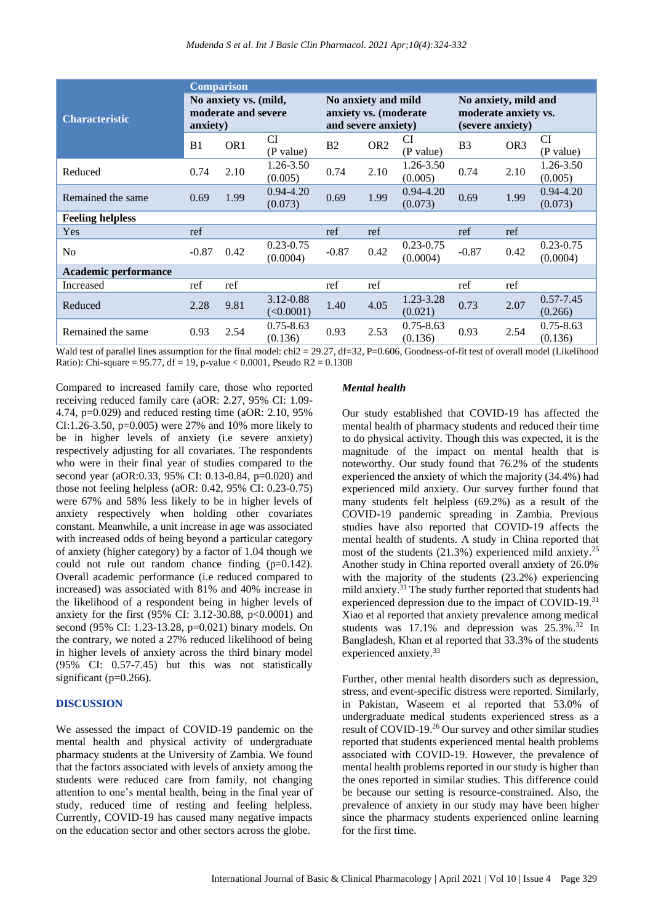|                         | <b>Comparison</b>                                        |                 |                                                                     |         |                 |                                                                  |                |                 |                           |
|-------------------------|----------------------------------------------------------|-----------------|---------------------------------------------------------------------|---------|-----------------|------------------------------------------------------------------|----------------|-----------------|---------------------------|
| <b>Characteristic</b>   | No anxiety vs. (mild,<br>moderate and severe<br>anxiety) |                 | No anxiety and mild<br>anxiety vs. (moderate<br>and severe anxiety) |         |                 | No anxiety, mild and<br>moderate anxiety vs.<br>(severe anxiety) |                |                 |                           |
|                         | B <sub>1</sub>                                           | OR <sub>1</sub> | <b>CI</b><br>(P value)                                              | B2      | OR <sub>2</sub> | CI<br>(P value)                                                  | B <sub>3</sub> | OR <sub>3</sub> | <b>CI</b><br>(P value)    |
| Reduced                 | 0.74                                                     | 2.10            | 1.26-3.50<br>(0.005)                                                | 0.74    | 2.10            | 1.26-3.50<br>(0.005)                                             | 0.74           | 2.10            | 1.26-3.50<br>(0.005)      |
| Remained the same       | 0.69                                                     | 1.99            | $0.94 - 4.20$<br>(0.073)                                            | 0.69    | 1.99            | $0.94 - 4.20$<br>(0.073)                                         | 0.69           | 1.99            | $0.94 - 4.20$<br>(0.073)  |
| <b>Feeling helpless</b> |                                                          |                 |                                                                     |         |                 |                                                                  |                |                 |                           |
| Yes                     | ref                                                      |                 |                                                                     | ref     | ref             |                                                                  | ref            | ref             |                           |
| N <sub>o</sub>          | $-0.87$                                                  | 0.42            | $0.23 - 0.75$<br>(0.0004)                                           | $-0.87$ | 0.42            | $0.23 - 0.75$<br>(0.0004)                                        | $-0.87$        | 0.42            | $0.23 - 0.75$<br>(0.0004) |
| Academic performance    |                                                          |                 |                                                                     |         |                 |                                                                  |                |                 |                           |
| Increased               | ref                                                      | ref             |                                                                     | ref     | ref             |                                                                  | ref            | ref             |                           |
| Reduced                 | 2.28                                                     | 9.81            | 3.12-0.88<br>(<0.0001)                                              | 1.40    | 4.05            | 1.23-3.28<br>(0.021)                                             | 0.73           | 2.07            | $0.57 - 7.45$<br>(0.266)  |
| Remained the same       | 0.93                                                     | 2.54            | $0.75 - 8.63$<br>(0.136)                                            | 0.93    | 2.53            | $0.75 - 8.63$<br>(0.136)                                         | 0.93           | 2.54            | $0.75 - 8.63$<br>(0.136)  |

Wald test of parallel lines assumption for the final model: chi2 = 29.27, df=32, P=0.606, Goodness-of-fit test of overall model (Likelihood Ratio): Chi-square =  $95.77$ , df = 19, p-value < 0.0001, Pseudo R2 = 0.1308

Compared to increased family care, those who reported receiving reduced family care (aOR: 2.27, 95% CI: 1.09- 4.74, p=0.029) and reduced resting time (aOR: 2.10, 95% CI:1.26-3.50, p=0.005) were 27% and 10% more likely to be in higher levels of anxiety (i.e severe anxiety) respectively adjusting for all covariates. The respondents who were in their final year of studies compared to the second year (aOR:0.33, 95% CI: 0.13-0.84, p=0.020) and those not feeling helpless (aOR: 0.42, 95% CI: 0.23-0.75) were 67% and 58% less likely to be in higher levels of anxiety respectively when holding other covariates constant. Meanwhile, a unit increase in age was associated with increased odds of being beyond a particular category of anxiety (higher category) by a factor of 1.04 though we could not rule out random chance finding (p=0.142). Overall academic performance (i.e reduced compared to increased) was associated with 81% and 40% increase in the likelihood of a respondent being in higher levels of anxiety for the first (95% CI: 3.12-30.88, p<0.0001) and second (95% CI: 1.23-13.28, p=0.021) binary models. On the contrary, we noted a 27% reduced likelihood of being in higher levels of anxiety across the third binary model (95% CI: 0.57-7.45) but this was not statistically significant (p=0.266).

## **DISCUSSION**

We assessed the impact of COVID-19 pandemic on the mental health and physical activity of undergraduate pharmacy students at the University of Zambia. We found that the factors associated with levels of anxiety among the students were reduced care from family, not changing attention to one's mental health, being in the final year of study, reduced time of resting and feeling helpless. Currently, COVID-19 has caused many negative impacts on the education sector and other sectors across the globe.

## *Mental health*

Our study established that COVID-19 has affected the mental health of pharmacy students and reduced their time to do physical activity. Though this was expected, it is the magnitude of the impact on mental health that is noteworthy. Our study found that 76.2% of the students experienced the anxiety of which the majority (34.4%) had experienced mild anxiety. Our survey further found that many students felt helpless (69.2%) as a result of the COVID-19 pandemic spreading in Zambia. Previous studies have also reported that COVID-19 affects the mental health of students. A study in China reported that most of the students (21.3%) experienced mild anxiety.<sup>25</sup> Another study in China reported overall anxiety of 26.0% with the majority of the students (23.2%) experiencing mild anxiety.<sup>31</sup> The study further reported that students had experienced depression due to the impact of COVID-19.<sup>31</sup> Xiao et al reported that anxiety prevalence among medical students was  $17.1\%$  and depression was  $25.3\%$ .<sup>32</sup> In Bangladesh, Khan et al reported that 33.3% of the students experienced anxiety.<sup>33</sup>

Further, other mental health disorders such as depression, stress, and event-specific distress were reported. Similarly, in Pakistan, Waseem et al reported that 53.0% of undergraduate medical students experienced stress as a result of COVID-19.<sup>26</sup> Our survey and other similar studies reported that students experienced mental health problems associated with COVID-19. However, the prevalence of mental health problems reported in our study is higher than the ones reported in similar studies. This difference could be because our setting is resource-constrained. Also, the prevalence of anxiety in our study may have been higher since the pharmacy students experienced online learning for the first time.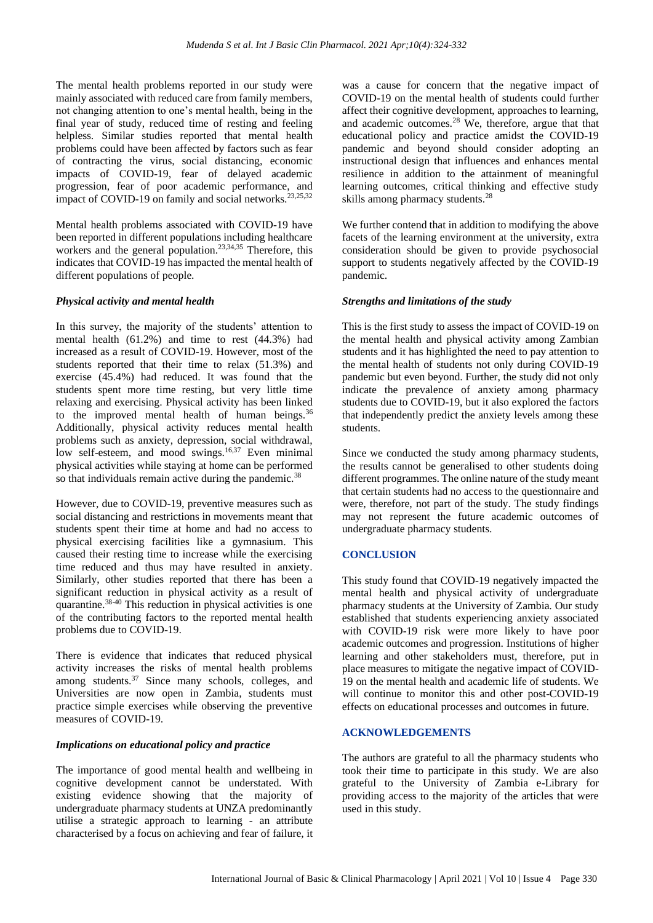The mental health problems reported in our study were mainly associated with reduced care from family members, not changing attention to one's mental health, being in the final year of study, reduced time of resting and feeling helpless. Similar studies reported that mental health problems could have been affected by factors such as fear of contracting the virus, social distancing, economic impacts of COVID-19, fear of delayed academic progression, fear of poor academic performance, and impact of COVID-19 on family and social networks.<sup>23,25,32</sup>

Mental health problems associated with COVID-19 have been reported in different populations including healthcare workers and the general population.<sup>23,34,35</sup> Therefore, this indicates that COVID-19 has impacted the mental health of different populations of people.

## *Physical activity and mental health*

In this survey, the majority of the students' attention to mental health (61.2%) and time to rest (44.3%) had increased as a result of COVID-19. However, most of the students reported that their time to relax (51.3%) and exercise (45.4%) had reduced. It was found that the students spent more time resting, but very little time relaxing and exercising. Physical activity has been linked to the improved mental health of human beings. $36$ Additionally, physical activity reduces mental health problems such as anxiety, depression, social withdrawal, low self-esteem, and mood swings.<sup>16,37</sup> Even minimal physical activities while staying at home can be performed so that individuals remain active during the pandemic.<sup>38</sup>

However, due to COVID-19, preventive measures such as social distancing and restrictions in movements meant that students spent their time at home and had no access to physical exercising facilities like a gymnasium. This caused their resting time to increase while the exercising time reduced and thus may have resulted in anxiety. Similarly, other studies reported that there has been a significant reduction in physical activity as a result of quarantine.38-40 This reduction in physical activities is one of the contributing factors to the reported mental health problems due to COVID-19.

There is evidence that indicates that reduced physical activity increases the risks of mental health problems among students.<sup>37</sup> Since many schools, colleges, and Universities are now open in Zambia, students must practice simple exercises while observing the preventive measures of COVID-19.

## *Implications on educational policy and practice*

The importance of good mental health and wellbeing in cognitive development cannot be understated. With existing evidence showing that the majority of undergraduate pharmacy students at UNZA predominantly utilise a strategic approach to learning - an attribute characterised by a focus on achieving and fear of failure, it

was a cause for concern that the negative impact of COVID-19 on the mental health of students could further affect their cognitive development, approaches to learning, and academic outcomes.<sup>28</sup> We, therefore, argue that that educational policy and practice amidst the COVID-19 pandemic and beyond should consider adopting an instructional design that influences and enhances mental resilience in addition to the attainment of meaningful learning outcomes, critical thinking and effective study skills among pharmacy students.<sup>28</sup>

We further contend that in addition to modifying the above facets of the learning environment at the university, extra consideration should be given to provide psychosocial support to students negatively affected by the COVID-19 pandemic.

## *Strengths and limitations of the study*

This is the first study to assess the impact of COVID-19 on the mental health and physical activity among Zambian students and it has highlighted the need to pay attention to the mental health of students not only during COVID-19 pandemic but even beyond. Further, the study did not only indicate the prevalence of anxiety among pharmacy students due to COVID-19, but it also explored the factors that independently predict the anxiety levels among these students.

Since we conducted the study among pharmacy students, the results cannot be generalised to other students doing different programmes. The online nature of the study meant that certain students had no access to the questionnaire and were, therefore, not part of the study. The study findings may not represent the future academic outcomes of undergraduate pharmacy students.

## **CONCLUSION**

This study found that COVID-19 negatively impacted the mental health and physical activity of undergraduate pharmacy students at the University of Zambia. Our study established that students experiencing anxiety associated with COVID-19 risk were more likely to have poor academic outcomes and progression. Institutions of higher learning and other stakeholders must, therefore, put in place measures to mitigate the negative impact of COVID-19 on the mental health and academic life of students. We will continue to monitor this and other post-COVID-19 effects on educational processes and outcomes in future.

## **ACKNOWLEDGEMENTS**

The authors are grateful to all the pharmacy students who took their time to participate in this study. We are also grateful to the University of Zambia e-Library for providing access to the majority of the articles that were used in this study.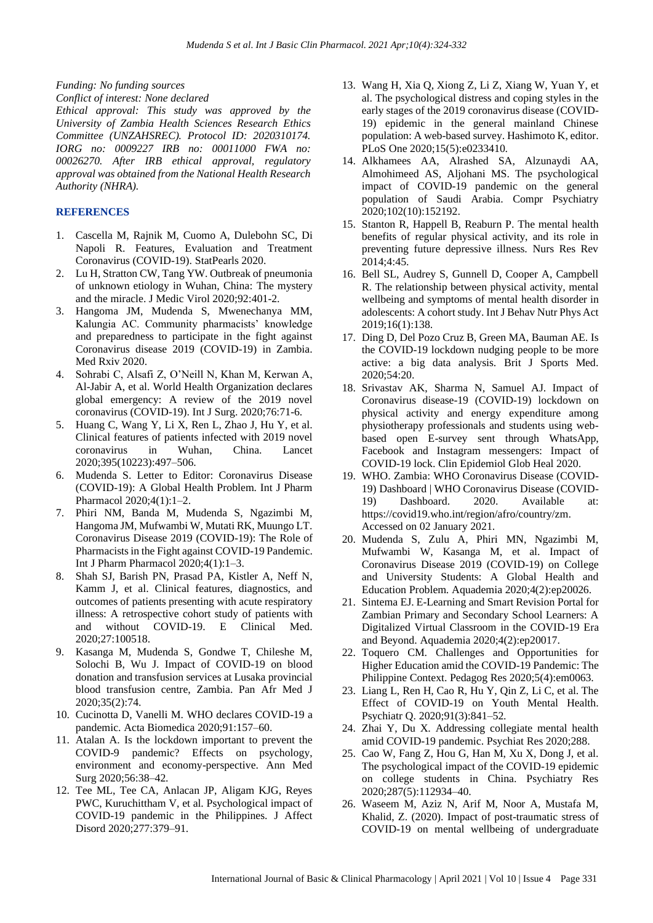*Funding: No funding sources*

*Conflict of interest: None declared*

*Ethical approval: This study was approved by the University of Zambia Health Sciences Research Ethics Committee (UNZAHSREC). Protocol ID: 2020310174. IORG no: 0009227 IRB no: 00011000 FWA no: 00026270. After IRB ethical approval, regulatory approval was obtained from the National Health Research Authority (NHRA).*

## **REFERENCES**

- 1. Cascella M, Rajnik M, Cuomo A, Dulebohn SC, Di Napoli R. Features, Evaluation and Treatment Coronavirus (COVID-19). StatPearls 2020.
- 2. Lu H, Stratton CW, Tang YW. Outbreak of pneumonia of unknown etiology in Wuhan, China: The mystery and the miracle. J Medic Virol 2020;92:401-2.
- 3. Hangoma JM, Mudenda S, Mwenechanya MM, Kalungia AC. Community pharmacists' knowledge and preparedness to participate in the fight against Coronavirus disease 2019 (COVID-19) in Zambia. Med Rxiv 2020.
- 4. Sohrabi C, Alsafi Z, O'Neill N, Khan M, Kerwan A, Al-Jabir A, et al. World Health Organization declares global emergency: A review of the 2019 novel coronavirus (COVID-19). Int J Surg. 2020;76:71-6.
- 5. Huang C, Wang Y, Li X, Ren L, Zhao J, Hu Y, et al. Clinical features of patients infected with 2019 novel coronavirus in Wuhan, China. Lancet 2020;395(10223):497–506.
- 6. Mudenda S. Letter to Editor: Coronavirus Disease (COVID-19): A Global Health Problem. Int J Pharm Pharmacol 2020;4(1):1–2.
- 7. Phiri NM, Banda M, Mudenda S, Ngazimbi M, Hangoma JM, Mufwambi W, Mutati RK, Muungo LT. Coronavirus Disease 2019 (COVID-19): The Role of Pharmacists in the Fight against COVID-19 Pandemic. Int J Pharm Pharmacol 2020;4(1):1–3.
- 8. Shah SJ, Barish PN, Prasad PA, Kistler A, Neff N, Kamm J, et al. Clinical features, diagnostics, and outcomes of patients presenting with acute respiratory illness: A retrospective cohort study of patients with and without COVID-19. E Clinical Med. 2020;27:100518.
- 9. Kasanga M, Mudenda S, Gondwe T, Chileshe M, Solochi B, Wu J. Impact of COVID-19 on blood donation and transfusion services at Lusaka provincial blood transfusion centre, Zambia. Pan Afr Med J 2020;35(2):74.
- 10. Cucinotta D, Vanelli M. WHO declares COVID-19 a pandemic. Acta Biomedica 2020;91:157–60.
- 11. Atalan A. Is the lockdown important to prevent the COVID-9 pandemic? Effects on psychology, environment and economy-perspective. Ann Med Surg 2020;56:38–42.
- 12. Tee ML, Tee CA, Anlacan JP, Aligam KJG, Reyes PWC, Kuruchittham V, et al. Psychological impact of COVID-19 pandemic in the Philippines. J Affect Disord 2020;277:379–91.
- 13. Wang H, Xia Q, Xiong Z, Li Z, Xiang W, Yuan Y, et al. The psychological distress and coping styles in the early stages of the 2019 coronavirus disease (COVID-19) epidemic in the general mainland Chinese population: A web-based survey. Hashimoto K, editor. PLoS One 2020;15(5):e0233410.
- 14. Alkhamees AA, Alrashed SA, Alzunaydi AA, Almohimeed AS, Aljohani MS. The psychological impact of COVID-19 pandemic on the general population of Saudi Arabia. Compr Psychiatry 2020;102(10):152192.
- 15. Stanton R, Happell B, Reaburn P. The mental health benefits of regular physical activity, and its role in preventing future depressive illness. Nurs Res Rev 2014;4:45.
- 16. Bell SL, Audrey S, Gunnell D, Cooper A, Campbell R. The relationship between physical activity, mental wellbeing and symptoms of mental health disorder in adolescents: A cohort study. Int J Behav Nutr Phys Act 2019;16(1):138.
- 17. Ding D, Del Pozo Cruz B, Green MA, Bauman AE. Is the COVID-19 lockdown nudging people to be more active: a big data analysis. Brit J Sports Med. 2020;54:20.
- 18. Srivastav AK, Sharma N, Samuel AJ. Impact of Coronavirus disease-19 (COVID-19) lockdown on physical activity and energy expenditure among physiotherapy professionals and students using webbased open E-survey sent through WhatsApp, Facebook and Instagram messengers: Impact of COVID-19 lock. Clin Epidemiol Glob Heal 2020.
- 19. WHO. Zambia: WHO Coronavirus Disease (COVID-19) Dashboard | WHO Coronavirus Disease (COVID-19) Dashboard. 2020. Available at: https://covid19.who.int/region/afro/country/zm. Accessed on 02 January 2021.
- 20. Mudenda S, Zulu A, Phiri MN, Ngazimbi M, Mufwambi W, Kasanga M, et al. Impact of Coronavirus Disease 2019 (COVID-19) on College and University Students: A Global Health and Education Problem. Aquademia 2020;4(2):ep20026.
- 21. Sintema EJ. E-Learning and Smart Revision Portal for Zambian Primary and Secondary School Learners: A Digitalized Virtual Classroom in the COVID-19 Era and Beyond. Aquademia 2020;4(2):ep20017.
- 22. Toquero CM. Challenges and Opportunities for Higher Education amid the COVID-19 Pandemic: The Philippine Context. Pedagog Res 2020;5(4):em0063.
- 23. Liang L, Ren H, Cao R, Hu Y, Qin Z, Li C, et al. The Effect of COVID-19 on Youth Mental Health. Psychiatr Q. 2020;91(3):841–52.
- 24. Zhai Y, Du X. Addressing collegiate mental health amid COVID-19 pandemic. Psychiat Res 2020;288.
- 25. Cao W, Fang Z, Hou G, Han M, Xu X, Dong J, et al. The psychological impact of the COVID-19 epidemic on college students in China. Psychiatry Res 2020;287(5):112934–40.
- 26. Waseem M, Aziz N, Arif M, Noor A, Mustafa M, Khalid, Z. (2020). Impact of post-traumatic stress of COVID-19 on mental wellbeing of undergraduate